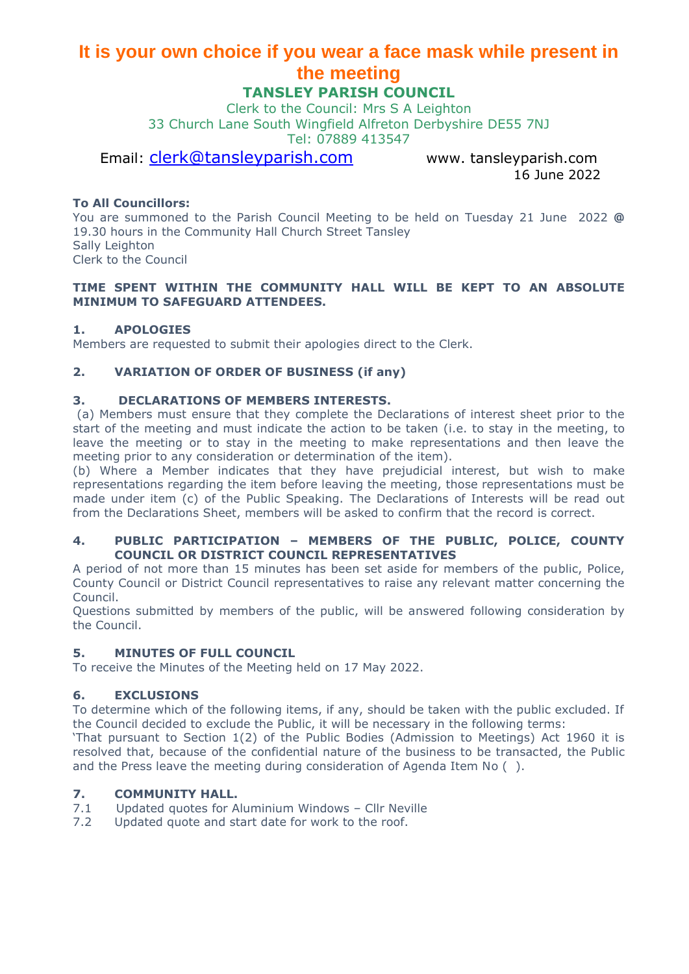# **It is your own choice if you wear a face mask while present in the meeting**

# **TANSLEY PARISH COUNCIL**

Clerk to the Council: Mrs S A Leighton 33 Church Lane South Wingfield Alfreton Derbyshire DE55 7NJ Tel: 07889 413547

# Email: [clerk@tansleyparish.com](mailto:clerk@tansleyparish.com) www. tansleyparish.com

16 June 2022

# **To All Councillors:**

You are summoned to the Parish Council Meeting to be held on Tuesday 21 June 2022 **@**  19.30 hours in the Community Hall Church Street Tansley Sally Leighton Clerk to the Council

#### **TIME SPENT WITHIN THE COMMUNITY HALL WILL BE KEPT TO AN ABSOLUTE MINIMUM TO SAFEGUARD ATTENDEES.**

### **1. APOLOGIES**

Members are requested to submit their apologies direct to the Clerk.

# **2. VARIATION OF ORDER OF BUSINESS (if any)**

# **3. DECLARATIONS OF MEMBERS INTERESTS.**

(a) Members must ensure that they complete the Declarations of interest sheet prior to the start of the meeting and must indicate the action to be taken (i.e. to stay in the meeting, to leave the meeting or to stay in the meeting to make representations and then leave the meeting prior to any consideration or determination of the item).

(b) Where a Member indicates that they have prejudicial interest, but wish to make representations regarding the item before leaving the meeting, those representations must be made under item (c) of the Public Speaking. The Declarations of Interests will be read out from the Declarations Sheet, members will be asked to confirm that the record is correct.

#### **4. PUBLIC PARTICIPATION – MEMBERS OF THE PUBLIC, POLICE, COUNTY COUNCIL OR DISTRICT COUNCIL REPRESENTATIVES**

A period of not more than 15 minutes has been set aside for members of the public, Police, County Council or District Council representatives to raise any relevant matter concerning the Council.

Questions submitted by members of the public, will be answered following consideration by the Council.

#### **5. MINUTES OF FULL COUNCIL**

To receive the Minutes of the Meeting held on 17 May 2022.

#### **6. EXCLUSIONS**

To determine which of the following items, if any, should be taken with the public excluded. If the Council decided to exclude the Public, it will be necessary in the following terms:

'That pursuant to Section 1(2) of the Public Bodies (Admission to Meetings) Act 1960 it is resolved that, because of the confidential nature of the business to be transacted, the Public and the Press leave the meeting during consideration of Agenda Item No ( ).

### **7. COMMUNITY HALL.**

- 7.1 Updated quotes for Aluminium Windows Cllr Neville
- 7.2 Updated quote and start date for work to the roof.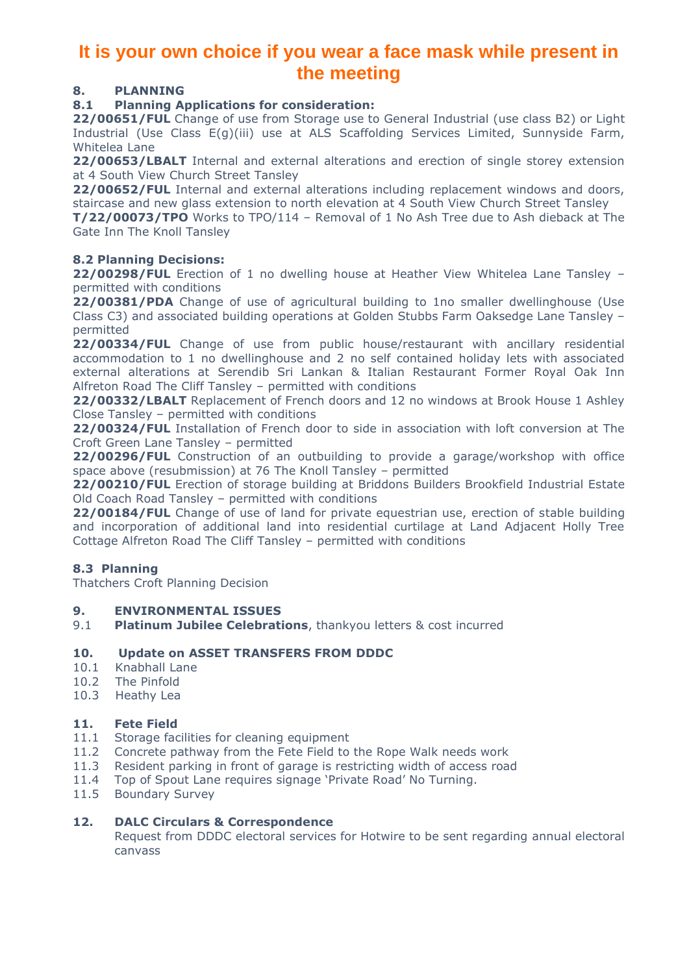# **It is your own choice if you wear a face mask while present in the meeting**

# **8. PLANNING**

# **8.1 Planning Applications for consideration:**

**22/00651/FUL** Change of use from Storage use to General Industrial (use class B2) or Light Industrial (Use Class E(g)(iii) use at ALS Scaffolding Services Limited, Sunnyside Farm, Whitelea Lane

**22/00653/LBALT** Internal and external alterations and erection of single storey extension at 4 South View Church Street Tansley

**22/00652/FUL** Internal and external alterations including replacement windows and doors, staircase and new glass extension to north elevation at 4 South View Church Street Tansley

**T/22/00073/TPO** Works to TPO/114 – Removal of 1 No Ash Tree due to Ash dieback at The Gate Inn The Knoll Tansley

### **8.2 Planning Decisions:**

**22/00298/FUL** Erection of 1 no dwelling house at Heather View Whitelea Lane Tansley – permitted with conditions

22/00381/PDA Change of use of agricultural building to 1no smaller dwellinghouse (Use Class C3) and associated building operations at Golden Stubbs Farm Oaksedge Lane Tansley – permitted

**22/00334/FUL** Change of use from public house/restaurant with ancillary residential accommodation to 1 no dwellinghouse and 2 no self contained holiday lets with associated external alterations at Serendib Sri Lankan & Italian Restaurant Former Royal Oak Inn Alfreton Road The Cliff Tansley – permitted with conditions

**22/00332/LBALT** Replacement of French doors and 12 no windows at Brook House 1 Ashley Close Tansley – permitted with conditions

**22/00324/FUL** Installation of French door to side in association with loft conversion at The Croft Green Lane Tansley – permitted

**22/00296/FUL** Construction of an outbuilding to provide a garage/workshop with office space above (resubmission) at 76 The Knoll Tansley – permitted

**22/00210/FUL** Erection of storage building at Briddons Builders Brookfield Industrial Estate Old Coach Road Tansley – permitted with conditions

**22/00184/FUL** Change of use of land for private equestrian use, erection of stable building and incorporation of additional land into residential curtilage at Land Adjacent Holly Tree Cottage Alfreton Road The Cliff Tansley – permitted with conditions

# **8.3 Planning**

Thatchers Croft Planning Decision

#### **9. ENVIRONMENTAL ISSUES**

9.1 **Platinum Jubilee Celebrations**, thankyou letters & cost incurred

#### **10. Update on ASSET TRANSFERS FROM DDDC**

- 10.1 Knabhall Lane
- 10.2 The Pinfold
- 10.3 Heathy Lea

#### **11. Fete Field**

- 11.1 Storage facilities for cleaning equipment
- 11.2 Concrete pathway from the Fete Field to the Rope Walk needs work
- 11.3 Resident parking in front of garage is restricting width of access road
- 11.4 Top of Spout Lane requires signage 'Private Road' No Turning.
- 11.5 Boundary Survey

#### **12. DALC Circulars & Correspondence**

Request from DDDC electoral services for Hotwire to be sent regarding annual electoral canvass